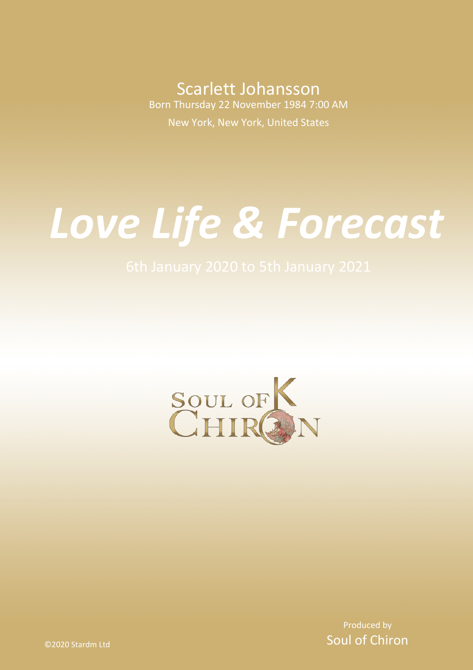## Scarlett Johansson Born Thursday 22 November 1984 7:00 AM

New York, New York, United States

# *Love Life & Forecast*



Produced by Soul of Chiron

©2020 Stardm Ltd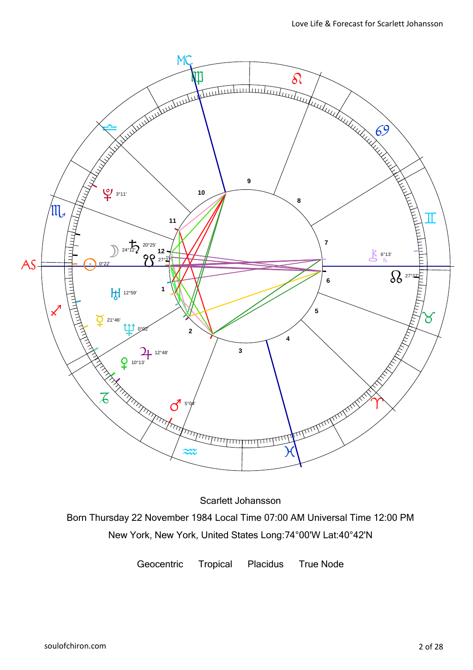

Scarlett Johansson

Born Thursday 22 November 1984 Local Time 07:00 AM Universal Time 12:00 PM New York, New York, United States Long:74°00'W Lat:40°42'N

Geocentric Tropical Placidus True Node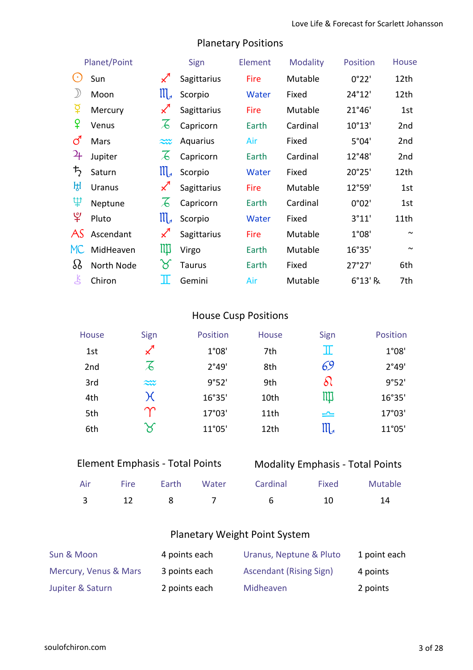## Planetary Positions

|                            | Planet/Point |                       | Sign          | Element | <b>Modality</b> | <b>Position</b> | <b>House</b>    |
|----------------------------|--------------|-----------------------|---------------|---------|-----------------|-----------------|-----------------|
| $\cdot$                    | Sun          |                       | Sagittarius   | Fire    | Mutable         | 0°22'           | 12th            |
|                            | Moon         | $\mathfrak{m}$        | Scorpio       | Water   | Fixed           | 24°12'          | 12th            |
| ទ្                         | Mercury      | $\measuredangle$      | Sagittarius   | Fire    | Mutable         | 21°46'          | 1st             |
| ¥                          | Venus        | $\lambda$             | Capricorn     | Earth   | Cardinal        | $10^{\circ}13'$ | 2 <sub>nd</sub> |
| ්                          | Mars         | $\approx$             | Aquarius      | Air     | Fixed           | 5°04'           | 2 <sub>nd</sub> |
| $\mathcal{L}_{\mathsf{F}}$ | Jupiter      | E                     | Capricorn     | Earth   | Cardinal        | 12°48'          | 2 <sub>nd</sub> |
| $\bm{\mathit{t}}_{2}$      | Saturn       | $\prod_{\mathcal{A}}$ | Scorpio       | Water   | Fixed           | 20°25'          | 12th            |
| ਸ਼੍ਰ                       | Uranus       | $\measuredangle$      | Sagittarius   | Fire    | Mutable         | 12°59'          | 1st             |
| Ψ                          | Neptune      | $\mathcal{L}$         | Capricorn     | Earth   | Cardinal        | 0°02'           | 1st             |
| $\mathfrak{P}$             | Pluto        | $\mathfrak{m}$        | Scorpio       | Water   | Fixed           | 3°11'           | 11th            |
| AS                         | Ascendant    | $\measuredangle$      | Sagittarius   | Fire    | Mutable         | 1°08'           | $\sim$          |
| MC                         | MidHeaven    | Щ                     | Virgo         | Earth   | Mutable         | 16°35'          | $\sim$          |
| 88                         | North Node   | `8                    | <b>Taurus</b> | Earth   | Fixed           | 27°27'          | 6th             |
| 飞                          | Chiron       | Ш                     | Gemini        | Air     | Mutable         | 6°13' R         | 7th             |

## House Cusp Positions

| House           | Sign               | Position | House | Sign           | Position |
|-----------------|--------------------|----------|-------|----------------|----------|
| 1st             |                    | 1°08'    | 7th   | $\mathbb I$    | 1°08'    |
| 2 <sub>nd</sub> | $\mathcal{Z}$      | 2°49'    | 8th   | 69             | 2°49'    |
| 3rd             | $\widetilde{\sim}$ | 9°52'    | 9th   | $\delta l$     | 9°52'    |
| 4th             | K                  | 16°35'   | 10th  | IIII           | 16°35'   |
| 5th             | $\bm{\gamma}$      | 17°03'   | 11th  | کا             | 17°03'   |
| 6th             | $\bm{\times}$      | 11°05'   | 12th  | $\mathfrak{m}$ | 11°05'   |

### Modality Emphasis - Total Points

|  |  | Air Fire Earth Water Cardinal Fixed Mutable |  |
|--|--|---------------------------------------------|--|
|  |  | 3 12 8 7 6 10 14                            |  |

### Planetary Weight Point System

| Sun & Moon            | 4 points each | Uranus, Neptune & Pluto        | 1 point each |
|-----------------------|---------------|--------------------------------|--------------|
| Mercury, Venus & Mars | 3 points each | <b>Ascendant (Rising Sign)</b> | 4 points     |
| Jupiter & Saturn      | 2 points each | Midheaven                      | 2 points     |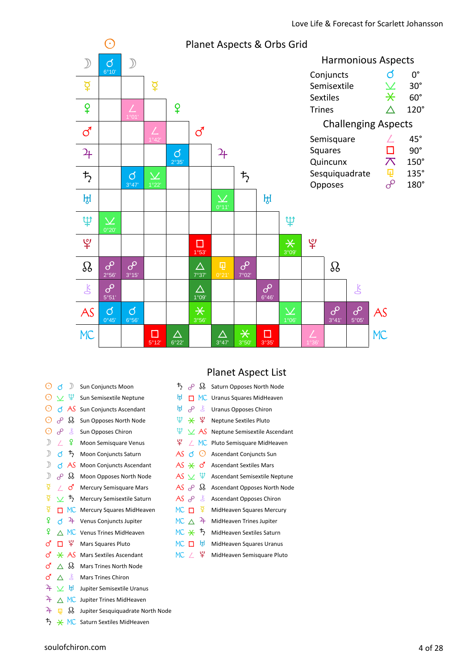

| ⊙             | Ч            | $\mathcal{D}$ | Sun Conjuncts Moon                |
|---------------|--------------|---------------|-----------------------------------|
| ⊙             |              | べ ホ           | Sun Semisextile Neptune           |
| $_{\odot}$    |              | ය AS          | Sun Conjuncts Ascendant           |
| $_{\odot}$    | $\theta$     | ℬ             | Sun Opposes North Node            |
| $_{\odot}$    | ൙            | Ľ             | Sun Opposes Chiron                |
| $\mathcal{D}$ |              | ¥             | Moon Semisquare Venus             |
| $\mathcal{D}$ | đ            | $\ddot{\tau}$ | Moon Conjuncts Saturn             |
| $\mathcal{D}$ | đ            | AS            | <b>Moon Conjuncts Ascendant</b>   |
| $\mathcal{D}$ | ൙            | 8S.           | Moon Opposes North Node           |
| ¥             |              | ර'            | <b>Mercury Semisquare Mars</b>    |
| ₽             | $\vee$       | $\mathcal{P}$ | Mercury Semisextile Saturn        |
| ₽             | п            | <b>MC</b>     | Mercury Squares MidHeaven         |
| ¥             | đ            | 4             | Venus Conjuncts Jupiter           |
| ¥             |              | <b>MC</b>     | Venus Trines MidHeaven            |
| ර             | п            | ¥             | Mars Squares Pluto                |
| ර             |              | $\times$ AS   | <b>Mars Sextiles Ascendant</b>    |
| ර             | Λ            | 8s            | <b>Mars Trines North Node</b>     |
| <b>ි</b>      | ∧            | Ľ             | <b>Mars Trines Chiron</b>         |
| 4             | $\checkmark$ | ŀţl           | Jupiter Semisextile Uranus        |
| 4             |              | МC            | Jupiter Trines MidHeaven          |
| 4             | 卬            | Ω             | Jupiter Sesquiquadrate North Node |

### Planet Aspect List

| $\bm{\bar{5}}$                 |               | ക്ക          | Saturn Opposes North Node           |
|--------------------------------|---------------|--------------|-------------------------------------|
| ਸ਼੍ਰ                           | п             |              | MC Uranus Squares MidHeaven         |
| ਸ਼੍ਰੀ                          | $\mathcal{S}$ | ⊺ __ K       | <b>Uranus Opposes Chiron</b>        |
| Ψ                              |               | ¥ ¥          | <b>Neptune Sextiles Pluto</b>       |
| Ψ                              |               | $\times$ AS  | Neptune Semisextile Ascendant       |
| ಳಿ -                           | $\sqrt{2}$    | MС           | Pluto Semisquare MidHeaven          |
| AS d                           |               | ⊙            | Ascendant Conjuncts Sun             |
| AS $\star$ d'                  |               |              | <b>Ascendant Sextiles Mars</b>      |
| AS $\times$ $\mathfrak{P}$     |               |              | Ascendant Semisextile Neptune       |
| $AS$ $\partial P$ $\partial S$ |               |              | <b>Ascendant Opposes North Node</b> |
| AS P                           |               | $\mathbf{k}$ | <b>Ascendant Opposes Chiron</b>     |
| $MC$ $\Pi$                     |               | ₫            | MidHeaven Squares Mercury           |
| MC A                           |               | 4            | MidHeaven Trines Jupiter            |
| MC *                           |               | $\bm{\psi}$  | MidHeaven Sextiles Saturn           |
| мс п                           |               | ਸ਼੍ਰਮ        | MidHeaven Squares Uranus            |
| MC /                           |               | Ψ            | MidHeaven Semisquare Pluto          |

#### $\frac{1}{2}$   $\frac{1}{2}$  MC Saturn Sextiles MidHeaven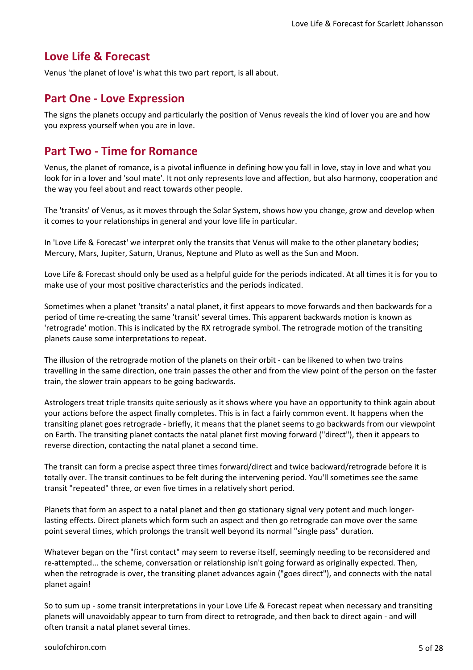### **Love Life & Forecast**

Venus 'the planet of love' is what this two part report, is all about.

### **Part One - Love Expression**

The signs the planets occupy and particularly the position of Venus reveals the kind of lover you are and how you express yourself when you are in love.

### **Part Two - Time for Romance**

Venus, the planet of romance, is a pivotal influence in defining how you fall in love, stay in love and what you look for in a lover and 'soul mate'. It not only represents love and affection, but also harmony, cooperation and the way you feel about and react towards other people.

The 'transits' of Venus, as it moves through the Solar System, shows how you change, grow and develop when it comes to your relationships in general and your love life in particular.

In 'Love Life & Forecast' we interpret only the transits that Venus will make to the other planetary bodies; Mercury, Mars, Jupiter, Saturn, Uranus, Neptune and Pluto as well as the Sun and Moon.

Love Life & Forecast should only be used as a helpful guide for the periods indicated. At all times it is for you to make use of your most positive characteristics and the periods indicated.

Sometimes when a planet 'transits' a natal planet, it first appears to move forwards and then backwards for a period of time re-creating the same 'transit' several times. This apparent backwards motion is known as 'retrograde' motion. This is indicated by the RX retrograde symbol. The retrograde motion of the transiting planets cause some interpretations to repeat.

The illusion of the retrograde motion of the planets on their orbit - can be likened to when two trains travelling in the same direction, one train passes the other and from the view point of the person on the faster train, the slower train appears to be going backwards.

Astrologers treat triple transits quite seriously as it shows where you have an opportunity to think again about your actions before the aspect finally completes. This is in fact a fairly common event. It happens when the transiting planet goes retrograde - briefly, it means that the planet seems to go backwards from our viewpoint on Earth. The transiting planet contacts the natal planet first moving forward ("direct"), then it appears to reverse direction, contacting the natal planet a second time.

The transit can form a precise aspect three times forward/direct and twice backward/retrograde before it is totally over. The transit continues to be felt during the intervening period. You'll sometimes see the same transit "repeated" three, or even five times in a relatively short period.

Planets that form an aspect to a natal planet and then go stationary signal very potent and much longerlasting effects. Direct planets which form such an aspect and then go retrograde can move over the same point several times, which prolongs the transit well beyond its normal "single pass" duration.

Whatever began on the "first contact" may seem to reverse itself, seemingly needing to be reconsidered and re-attempted... the scheme, conversation or relationship isn't going forward as originally expected. Then, when the retrograde is over, the transiting planet advances again ("goes direct"), and connects with the natal planet again!

So to sum up - some transit interpretations in your Love Life & Forecast repeat when necessary and transiting planets will unavoidably appear to turn from direct to retrograde, and then back to direct again - and will often transit a natal planet several times.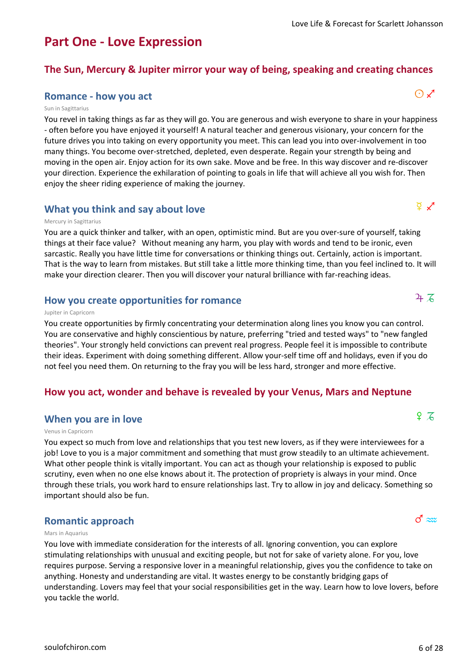## **Part One - Love Expression**

### **The Sun, Mercury & Jupiter mirror your way of being, speaking and creating chances**

## **Romance - how you act** a 9  $\bigcirc \mathcal{L}$

#### Sun in Sagittarius

You revel in taking things as far as they will go. You are generous and wish everyone to share in your happiness - often before you have enjoyed it yourself! A natural teacher and generous visionary, your concern for the future drives you into taking on every opportunity you meet. This can lead you into over-involvement in too many things. You become over-stretched, depleted, even desperate. Regain your strength by being and moving in the open air. Enjoy action for its own sake. Move and be free. In this way discover and re-discover your direction. Experience the exhilaration of pointing to goals in life that will achieve all you wish for. Then enjoy the sheer riding experience of making the journey.

## **What you think and say about love** d 9  $\frac{Q}{2}$   $\chi^2$

#### Mercury in Sagittarius

You are a quick thinker and talker, with an open, optimistic mind. But are you over-sure of yourself, taking things at their face value? Without meaning any harm, you play with words and tend to be ironic, even sarcastic. Really you have little time for conversations or thinking things out. Certainly, action is important. That is the way to learn from mistakes. But still take a little more thinking time, than you feel inclined to. It will make your direction clearer. Then you will discover your natural brilliance with far-reaching ideas.

## **How you create opportunities for romance**  $4\overline{6}$

#### Jupiter in Capricorn

You create opportunities by firmly concentrating your determination along lines you know you can control. You are conservative and highly conscientious by nature, preferring "tried and tested ways" to "new fangled theories". Your strongly held convictions can prevent real progress. People feel it is impossible to contribute their ideas. Experiment with doing something different. Allow your-self time off and holidays, even if you do not feel you need them. On returning to the fray you will be less hard, stronger and more effective.

#### **How you act, wonder and behave is revealed by your Venus, Mars and Neptune**

### **When you are in love**  $\begin{array}{c} \downarrow \infty \\ \downarrow \infty \end{array}$

#### Venus in Capricorn

You expect so much from love and relationships that you test new lovers, as if they were interviewees for a job! Love to you is a major commitment and something that must grow steadily to an ultimate achievement. What other people think is vitally important. You can act as though your relationship is exposed to public scrutiny, even when no one else knows about it. The protection of propriety is always in your mind. Once through these trials, you work hard to ensure relationships last. Try to allow in joy and delicacy. Something so important should also be fun.

### **Romantic approach** g-compared and a set of  $\alpha$  and  $\beta$  and  $\beta$  and  $\beta$  and  $\beta$  and  $\beta$  and  $\beta$  and  $\beta$  and  $\beta$  and  $\beta$  and  $\beta$  and  $\beta$  and  $\beta$  and  $\beta$  and  $\beta$  and  $\beta$  and  $\beta$  and  $\beta$  and  $\beta$  and  $\beta$  an

#### Mars in Aquarius

You love with immediate consideration for the interests of all. Ignoring convention, you can explore stimulating relationships with unusual and exciting people, but not for sake of variety alone. For you, love requires purpose. Serving a responsive lover in a meaningful relationship, gives you the confidence to take on anything. Honesty and understanding are vital. It wastes energy to be constantly bridging gaps of understanding. Lovers may feel that your social responsibilities get in the way. Learn how to love lovers, before you tackle the world.

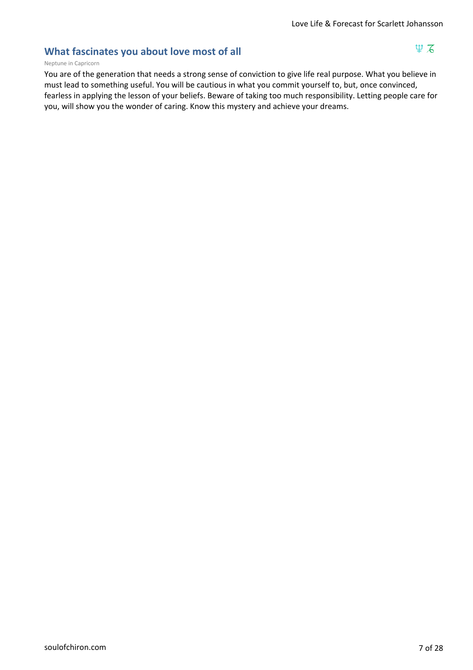## **What fascinates you about love most of all leading the set of all**  $\Psi$   $\mathcal{Z}$

#### Neptune in Capricorn

You are of the generation that needs a strong sense of conviction to give life real purpose. What you believe in must lead to something useful. You will be cautious in what you commit yourself to, but, once convinced, fearless in applying the lesson of your beliefs. Beware of taking too much responsibility. Letting people care for you, will show you the wonder of caring. Know this mystery and achieve your dreams.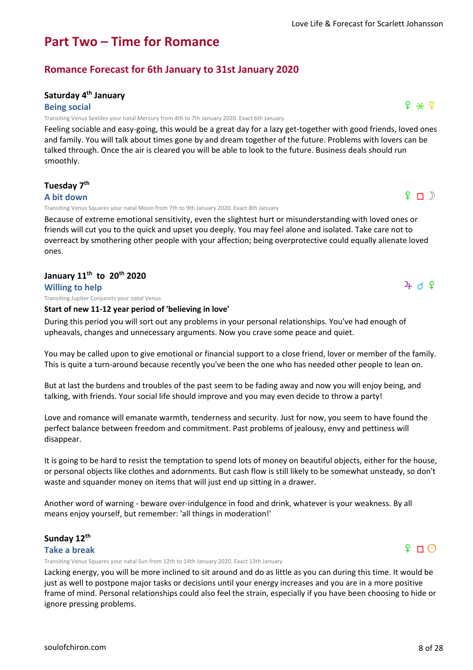## **Part Two – Time for Romance**

## **Romance Forecast for 6th January to 31st January 2020**

#### **Saturday 4th January**

#### **Being social**

Transiting Venus Sextiles your natal Mercury from 4th to 7th January 2020. Exact 6th January

Feeling sociable and easy-going, this would be a great day for a lazy get-together with good friends, loved ones and family. You will talk about times gone by and dream together of the future. Problems with lovers can be talked through. Once the air is cleared you will be able to look to the future. Business deals should run smoothly.

#### **Tuesday 7th**

#### **A bit down**

Transiting Venus Squares your natal Moon from 7th to 9th January 2020. Exact 8th January

Because of extreme emotional sensitivity, even the slightest hurt or misunderstanding with loved ones or friends will cut you to the quick and upset you deeply. You may feel alone and isolated. Take care not to overreact by smothering other people with your affection; being overprotective could equally alienate loved ones.

#### **January 11th to 20th 2020 Willing to help**

Transiting Jupiter Conjuncts your natal Venus

#### **Start of new 11-12 year period of 'believing in love'**

During this period you will sort out any problems in your personal relationships. You've had enough of upheavals, changes and unnecessary arguments. Now you crave some peace and quiet.

You may be called upon to give emotional or financial support to a close friend, lover or member of the family. This is quite a turn-around because recently you've been the one who has needed other people to lean on.

But at last the burdens and troubles of the past seem to be fading away and now you will enjoy being, and talking, with friends. Your social life should improve and you may even decide to throw a party!

Love and romance will emanate warmth, tenderness and security. Just for now, you seem to have found the perfect balance between freedom and commitment. Past problems of jealousy, envy and pettiness will disappear.

It is going to be hard to resist the temptation to spend lots of money on beautiful objects, either for the house, or personal objects like clothes and adornments. But cash flow is still likely to be somewhat unsteady, so don't waste and squander money on items that will just end up sitting in a drawer.

Another word of warning - beware over-indulgence in food and drink, whatever is your weakness. By all means enjoy yourself, but remember: 'all things in moderation!'

#### **Sunday 12th**

#### **Take a break**

Transiting Venus Squares your natal Sun from 12th to 14th January 2020. Exact 13th January

Lacking energy, you will be more inclined to sit around and do as little as you can during this time. It would be just as well to postpone major tasks or decisions until your energy increases and you are in a more positive frame of mind. Personal relationships could also feel the strain, especially if you have been choosing to hide or ignore pressing problems.



## $4d9$

 $P D$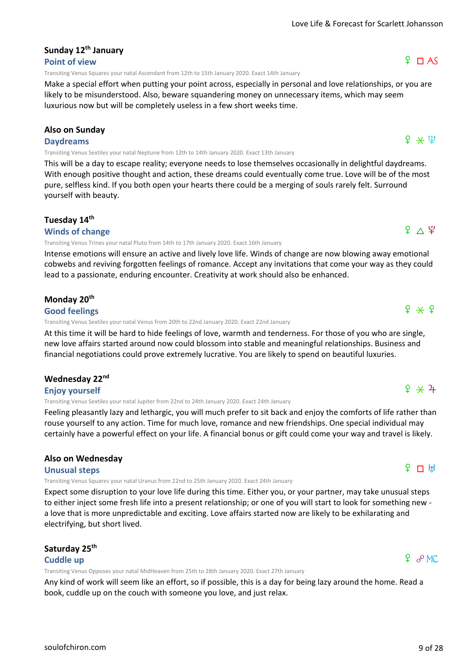## **Sunday 12th January**

#### **Point of view**

Transiting Venus Squares your natal Ascendant from 12th to 15th January 2020. Exact 14th January

Make a special effort when putting your point across, especially in personal and love relationships, or you are likely to be misunderstood. Also, beware squandering money on unnecessary items, which may seem luxurious now but will be completely useless in a few short weeks time.

#### **Also on Sunday**

#### **Daydreams**

Transiting Venus Sextiles your natal Neptune from 12th to 14th January 2020. Exact 13th January

This will be a day to escape reality; everyone needs to lose themselves occasionally in delightful daydreams. With enough positive thought and action, these dreams could eventually come true. Love will be of the most pure, selfless kind. If you both open your hearts there could be a merging of souls rarely felt. Surround yourself with beauty.

#### **Tuesday 14th**

#### **Winds of change**

Transiting Venus Trines your natal Pluto from 14th to 17th January 2020. Exact 16th January

Intense emotions will ensure an active and lively love life. Winds of change are now blowing away emotional cobwebs and reviving forgotten feelings of romance. Accept any invitations that come your way as they could lead to a passionate, enduring encounter. Creativity at work should also be enhanced.

#### **Monday 20th**

#### **Good feelings**

Transiting Venus Sextiles your natal Venus from 20th to 22nd January 2020. Exact 22nd January

At this time it will be hard to hide feelings of love, warmth and tenderness. For those of you who are single, new love affairs started around now could blossom into stable and meaningful relationships. Business and financial negotiations could prove extremely lucrative. You are likely to spend on beautiful luxuries.

#### **Wednesday 22nd**

#### **Enjoy yourself**

Transiting Venus Sextiles your natal Jupiter from 22nd to 24th January 2020. Exact 24th January

Feeling pleasantly lazy and lethargic, you will much prefer to sit back and enjoy the comforts of life rather than rouse yourself to any action. Time for much love, romance and new friendships. One special individual may certainly have a powerful effect on your life. A financial bonus or gift could come your way and travel is likely.

#### **Also on Wednesday**

#### **Unusual steps**

Transiting Venus Squares your natal Uranus from 22nd to 25th January 2020. Exact 24th January

Expect some disruption to your love life during this time. Either you, or your partner, may take unusual steps to either inject some fresh life into a present relationship; or one of you will start to look for something new a love that is more unpredictable and exciting. Love affairs started now are likely to be exhilarating and electrifying, but short lived.

### **Saturday 25th**

#### **Cuddle up**

Transiting Venus Opposes your natal MidHeaven from 25th to 28th January 2020. Exact 27th January

Any kind of work will seem like an effort, so if possible, this is a day for being lazy around the home. Read a book, cuddle up on the couch with someone you love, and just relax.

Love Life & Forecast for Scarlett Johansson

#### $9 \times \Psi$

 $\Omega$   $\Box$  AS

### $9 \times 4$

 $P$   $H$ 

### $P_{\alpha}$   $P_{\alpha}$





 $9 \wedge 9$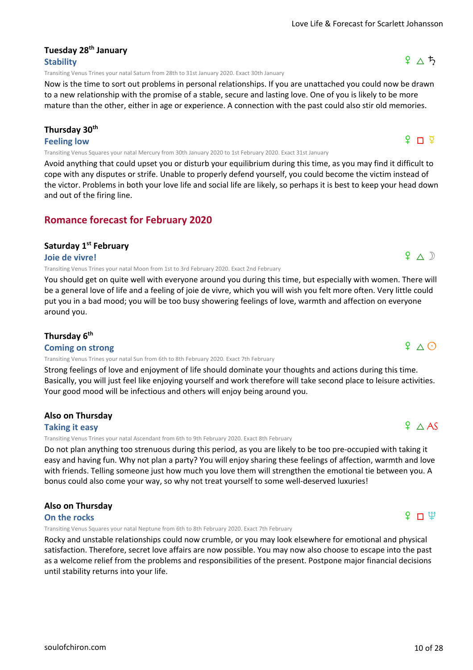#### Love Life & Forecast for Scarlett Johansson

#### **Tuesday 28th January Stability**

Transiting Venus Trines your natal Saturn from 28th to 31st January 2020. Exact 30th January

Now is the time to sort out problems in personal relationships. If you are unattached you could now be drawn to a new relationship with the promise of a stable, secure and lasting love. One of you is likely to be more mature than the other, either in age or experience. A connection with the past could also stir old memories.

#### **Thursday 30th**

#### **Feeling low**

Transiting Venus Squares your natal Mercury from 30th January 2020 to 1st February 2020. Exact 31st January

Avoid anything that could upset you or disturb your equilibrium during this time, as you may find it difficult to cope with any disputes or strife. Unable to properly defend yourself, you could become the victim instead of the victor. Problems in both your love life and social life are likely, so perhaps it is best to keep your head down and out of the firing line.

#### **Romance forecast for February 2020**

#### **Saturday 1st February**

#### **Joie de vivre!**

Transiting Venus Trines your natal Moon from 1st to 3rd February 2020. Exact 2nd February

You should get on quite well with everyone around you during this time, but especially with women. There will be a general love of life and a feeling of joie de vivre, which you will wish you felt more often. Very little could put you in a bad mood; you will be too busy showering feelings of love, warmth and affection on everyone around you.

#### **Thursday 6th**

#### **Coming on strong**

Transiting Venus Trines your natal Sun from 6th to 8th February 2020. Exact 7th February

Strong feelings of love and enjoyment of life should dominate your thoughts and actions during this time. Basically, you will just feel like enjoying yourself and work therefore will take second place to leisure activities. Your good mood will be infectious and others will enjoy being around you.

#### **Also on Thursday**

#### **Taking it easy**

Transiting Venus Trines your natal Ascendant from 6th to 9th February 2020. Exact 8th February

Do not plan anything too strenuous during this period, as you are likely to be too pre-occupied with taking it easy and having fun. Why not plan a party? You will enjoy sharing these feelings of affection, warmth and love with friends. Telling someone just how much you love them will strengthen the emotional tie between you. A bonus could also come your way, so why not treat yourself to some well-deserved luxuries!

#### **Also on Thursday**

#### **On the rocks**

Transiting Venus Squares your natal Neptune from 6th to 8th February 2020. Exact 7th February

Rocky and unstable relationships could now crumble, or you may look elsewhere for emotional and physical satisfaction. Therefore, secret love affairs are now possible. You may now also choose to escape into the past as a welcome relief from the problems and responsibilities of the present. Postpone major financial decisions until stability returns into your life.



 $9 \cup 9$ 

 $9 \wedge 5$ 

## $P \wedge Q$

 $9 \wedge AS$ 

 $P \triangle D$ 

#### $\Omega$  m  $\Psi$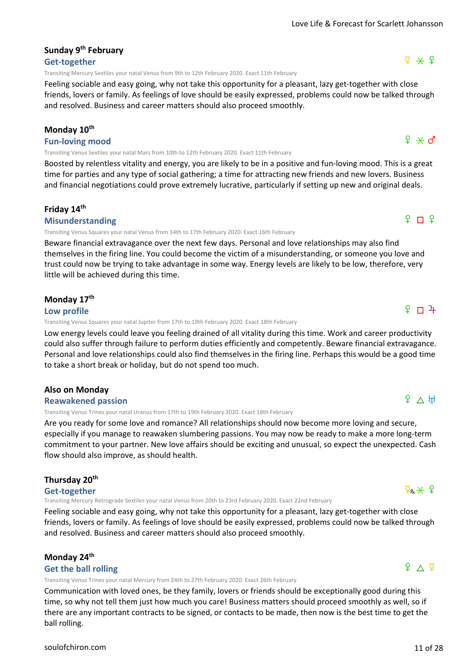#### Love Life & Forecast for Scarlett Johansson

## **Sunday 9th February**

#### **Get-together**

Transiting Mercury Sextiles your natal Venus from 9th to 12th February 2020. Exact 11th February

Feeling sociable and easy going, why not take this opportunity for a pleasant, lazy get-together with close friends, lovers or family. As feelings of love should be easily expressed, problems could now be talked through and resolved. Business and career matters should also proceed smoothly.

#### **Monday 10th**

#### **Fun-loving mood**

Transiting Venus Sextiles your natal Mars from 10th to 12th February 2020. Exact 11th February

Boosted by relentless vitality and energy, you are likely to be in a positive and fun-loving mood. This is a great time for parties and any type of social gathering; a time for attracting new friends and new lovers. Business and financial negotiations could prove extremely lucrative, particularly if setting up new and original deals.

#### **Friday 14th**

#### **Misunderstanding**

Transiting Venus Squares your natal Venus from 14th to 17th February 2020. Exact 16th February

Beware financial extravagance over the next few days. Personal and love relationships may also find themselves in the firing line. You could become the victim of a misunderstanding, or someone you love and trust could now be trying to take advantage in some way. Energy levels are likely to be low, therefore, very little will be achieved during this time.

#### **Monday 17th**

#### **Low profile**

Transiting Venus Squares your natal Jupiter from 17th to 19th February 2020. Exact 18th February

Low energy levels could leave you feeling drained of all vitality during this time. Work and career productivity could also suffer through failure to perform duties efficiently and competently. Beware financial extravagance. Personal and love relationships could also find themselves in the firing line. Perhaps this would be a good time to take a short break or holiday, but do not spend too much.

#### **Also on Monday**

#### **Reawakened passion**

Transiting Venus Trines your natal Uranus from 17th to 19th February 2020. Exact 18th February

Are you ready for some love and romance? All relationships should now become more loving and secure, especially if you manage to reawaken slumbering passions. You may now be ready to make a more long-term commitment to your partner. New love affairs should be exciting and unusual, so expect the unexpected. Cash flow should also improve, as should health.

#### **Thursday 20th**

#### **Get-together**

Transiting Mercury Retrograde Sextiles your natal Venus from 20th to 23rd February 2020. Exact 22nd February

Feeling sociable and easy going, why not take this opportunity for a pleasant, lazy get-together with close friends, lovers or family. As feelings of love should be easily expressed, problems could now be talked through and resolved. Business and career matters should also proceed smoothly.

#### **Monday 24th**

#### **Get the ball rolling**

Transiting Venus Trines your natal Mercury from 24th to 27th February 2020. Exact 26th February

Communication with loved ones, be they family, lovers or friends should be exceptionally good during this time, so why not tell them just how much you care! Business matters should proceed smoothly as well, so if there are any important contracts to be signed, or contacts to be made, then now is the best time to get the ball rolling.

### $f \cap 9$

 $9 \Box 4$ 

### $9 \wedge H$

## $\frac{6}{5}$   $\Delta$   $\frac{5}{5}$

 $\frac{1}{2}R + 2$ 

## $9 \times 9$

 $\frac{1}{2}$   $\frac{1}{2}$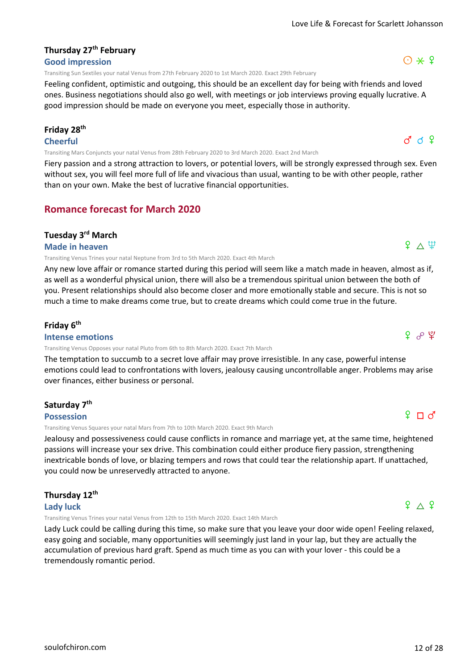## **Thursday 27th February**

#### **Good impression**

Transiting Sun Sextiles your natal Venus from 27th February 2020 to 1st March 2020. Exact 29th February

Feeling confident, optimistic and outgoing, this should be an excellent day for being with friends and loved ones. Business negotiations should also go well, with meetings or job interviews proving equally lucrative. A good impression should be made on everyone you meet, especially those in authority.

#### **Friday 28th**

#### **Cheerful**

Transiting Mars Conjuncts your natal Venus from 28th February 2020 to 3rd March 2020. Exact 2nd March

Fiery passion and a strong attraction to lovers, or potential lovers, will be strongly expressed through sex. Even without sex, you will feel more full of life and vivacious than usual, wanting to be with other people, rather than on your own. Make the best of lucrative financial opportunities.

#### **Romance forecast for March 2020**

#### **Tuesday 3rd March**

#### **Made in heaven**

Transiting Venus Trines your natal Neptune from 3rd to 5th March 2020. Exact 4th March

Any new love affair or romance started during this period will seem like a match made in heaven, almost as if, as well as a wonderful physical union, there will also be a tremendous spiritual union between the both of you. Present relationships should also become closer and more emotionally stable and secure. This is not so much a time to make dreams come true, but to create dreams which could come true in the future.

#### **Friday 6th**

#### **Intense emotions**

Transiting Venus Opposes your natal Pluto from 6th to 8th March 2020. Exact 7th March

The temptation to succumb to a secret love affair may prove irresistible. In any case, powerful intense emotions could lead to confrontations with lovers, jealousy causing uncontrollable anger. Problems may arise over finances, either business or personal.

#### **Saturday 7th**

#### **Possession**

Transiting Venus Squares your natal Mars from 7th to 10th March 2020. Exact 9th March

Jealousy and possessiveness could cause conflicts in romance and marriage yet, at the same time, heightened passions will increase your sex drive. This combination could either produce fiery passion, strengthening inextricable bonds of love, or blazing tempers and rows that could tear the relationship apart. If unattached, you could now be unreservedly attracted to anyone.

### **Thursday 12th**

#### **Lady luck**

Transiting Venus Trines your natal Venus from 12th to 15th March 2020. Exact 14th March

Lady Luck could be calling during this time, so make sure that you leave your door wide open! Feeling relaxed, easy going and sociable, many opportunities will seemingly just land in your lap, but they are actually the accumulation of previous hard graft. Spend as much time as you can with your lover - this could be a tremendously romantic period.

 $\Omega \vee \mathfrak{P}$ 

 $O*9$ 

 $d \notin$ 

 $9 \n\Pi \n\sigma$ 

## $9 \wedge 9$



### $9^\circ \approx$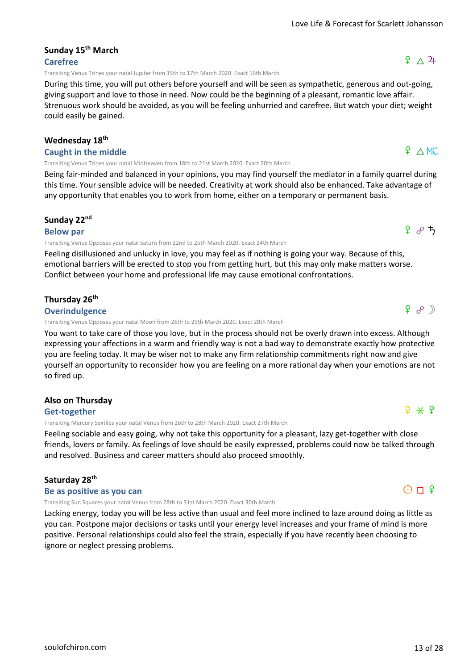#### Love Life & Forecast for Scarlett Johansson

#### **Sunday 15th March Carefree**

Transiting Venus Trines your natal Jupiter from 15th to 17th March 2020. Exact 16th March

During this time, you will put others before yourself and will be seen as sympathetic, generous and out-going, giving support and love to those in need. Now could be the beginning of a pleasant, romantic love affair. Strenuous work should be avoided, as you will be feeling unhurried and carefree. But watch your diet; weight could easily be gained.

#### **Wednesday 18th**

#### **Caught in the middle**

Transiting Venus Trines your natal MidHeaven from 18th to 21st March 2020. Exact 20th March

Being fair-minded and balanced in your opinions, you may find yourself the mediator in a family quarrel during this time. Your sensible advice will be needed. Creativity at work should also be enhanced. Take advantage of any opportunity that enables you to work from home, either on a temporary or permanent basis.

#### **Sunday 22nd**

#### **Below par**

Transiting Venus Opposes your natal Saturn from 22nd to 25th March 2020. Exact 24th March

Feeling disillusioned and unlucky in love, you may feel as if nothing is going your way. Because of this, emotional barriers will be erected to stop you from getting hurt, but this may only make matters worse. Conflict between your home and professional life may cause emotional confrontations.

#### **Thursday 26th**

#### **Overindulgence**

Transiting Venus Opposes your natal Moon from 26th to 29th March 2020. Exact 28th March

You want to take care of those you love, but in the process should not be overly drawn into excess. Although expressing your affections in a warm and friendly way is not a bad way to demonstrate exactly how protective you are feeling today. It may be wiser not to make any firm relationship commitments right now and give yourself an opportunity to reconsider how you are feeling on a more rational day when your emotions are not so fired up.

#### **Also on Thursday**

#### **Get-together**

Transiting Mercury Sextiles your natal Venus from 26th to 28th March 2020. Exact 27th March

Feeling sociable and easy going, why not take this opportunity for a pleasant, lazy get-together with close friends, lovers or family. As feelings of love should be easily expressed, problems could now be talked through and resolved. Business and career matters should also proceed smoothly.

#### **Saturday 28th**

#### **Be as positive as you can**

Transiting Sun Squares your natal Venus from 28th to 31st March 2020. Exact 30th March

Lacking energy, today you will be less active than usual and feel more inclined to laze around doing as little as you can. Postpone major decisions or tasks until your energy level increases and your frame of mind is more positive. Personal relationships could also feel the strain, especially if you have recently been choosing to ignore or neglect pressing problems.



 $9 \text{ g}$ 



 $\frac{1}{2}$   $\frac{1}{2}$ 

#### $9^{\circ}$   $\wedge$   $3^{\circ}$

 $P \wedge MC$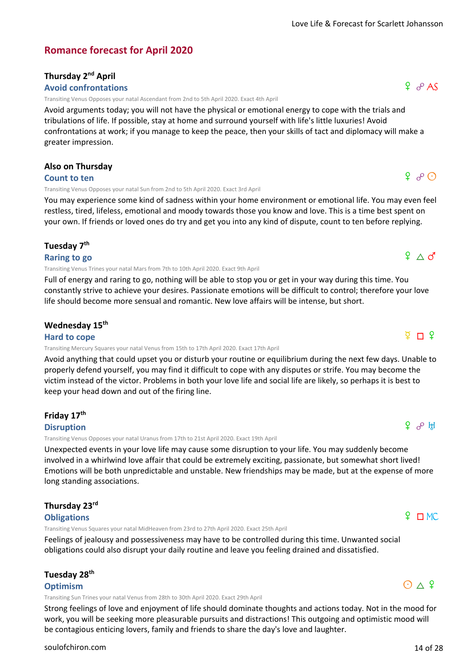## **Romance forecast for April 2020**

## **Thursday 2nd April**

#### **Avoid confrontations**

Transiting Venus Opposes your natal Ascendant from 2nd to 5th April 2020. Exact 4th April

Avoid arguments today; you will not have the physical or emotional energy to cope with the trials and tribulations of life. If possible, stay at home and surround yourself with life's little luxuries! Avoid confrontations at work; if you manage to keep the peace, then your skills of tact and diplomacy will make a greater impression.

### **Also on Thursday**

#### **Count to ten**

Transiting Venus Opposes your natal Sun from 2nd to 5th April 2020. Exact 3rd April

You may experience some kind of sadness within your home environment or emotional life. You may even feel restless, tired, lifeless, emotional and moody towards those you know and love. This is a time best spent on your own. If friends or loved ones do try and get you into any kind of dispute, count to ten before replying.

#### **Tuesday 7th**

#### **Raring to go**

Transiting Venus Trines your natal Mars from 7th to 10th April 2020. Exact 9th April

Full of energy and raring to go, nothing will be able to stop you or get in your way during this time. You constantly strive to achieve your desires. Passionate emotions will be difficult to control; therefore your love life should become more sensual and romantic. New love affairs will be intense, but short.

#### **Wednesday 15th**

#### **Hard to cope**

Transiting Mercury Squares your natal Venus from 15th to 17th April 2020. Exact 17th April

Avoid anything that could upset you or disturb your routine or equilibrium during the next few days. Unable to properly defend yourself, you may find it difficult to cope with any disputes or strife. You may become the victim instead of the victor. Problems in both your love life and social life are likely, so perhaps it is best to keep your head down and out of the firing line.

| Friday 17 <sup>th</sup>                                                                   |  |
|-------------------------------------------------------------------------------------------|--|
| <b>Disruption</b>                                                                         |  |
| Transiting Venus Opposes your natal Uranus from 17th to 21st April 2020. Exact 19th April |  |

Unexpected events in your love life may cause some disruption to your life. You may suddenly become involved in a whirlwind love affair that could be extremely exciting, passionate, but somewhat short lived! Emotions will be both unpredictable and unstable. New friendships may be made, but at the expense of more long standing associations.

### **Thursday 23rd**

**Obligations**

Transiting Venus Squares your natal MidHeaven from 23rd to 27th April 2020. Exact 25th April

Feelings of jealousy and possessiveness may have to be controlled during this time. Unwanted social obligations could also disrupt your daily routine and leave you feeling drained and dissatisfied.

#### **Tuesday 28th**

#### **Optimism**

Transiting Sun Trines your natal Venus from 28th to 30th April 2020. Exact 29th April

Strong feelings of love and enjoyment of life should dominate thoughts and actions today. Not in the mood for work, you will be seeking more pleasurable pursuits and distractions! This outgoing and optimistic mood will be contagious enticing lovers, family and friends to share the day's love and laughter.



## $\overline{2}$  D  $\overline{3}$

 $9e$  AS

 $9^\circ$   $\odot$ 

 $f \triangle \sigma$ 

 $P \sim H$ 

 $O \wedge 9$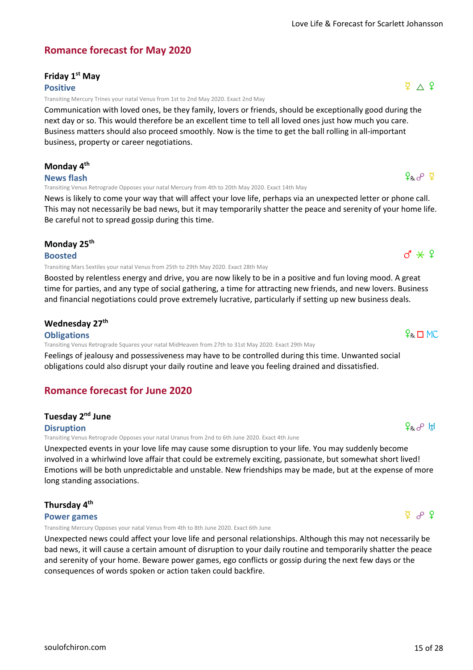## **Romance forecast for May 2020**

#### **Friday 1st May Positive**

Transiting Mercury Trines your natal Venus from 1st to 2nd May 2020. Exact 2nd May

Communication with loved ones, be they family, lovers or friends, should be exceptionally good during the next day or so. This would therefore be an excellent time to tell all loved ones just how much you care. Business matters should also proceed smoothly. Now is the time to get the ball rolling in all-important business, property or career negotiations.

#### **Monday 4th**

#### **News flash**

Transiting Venus Retrograde Opposes your natal Mercury from 4th to 20th May 2020. Exact 14th May

News is likely to come your way that will affect your love life, perhaps via an unexpected letter or phone call. This may not necessarily be bad news, but it may temporarily shatter the peace and serenity of your home life. Be careful not to spread gossip during this time.

#### **Monday 25th**

#### **Boosted**

Transiting Mars Sextiles your natal Venus from 25th to 29th May 2020. Exact 28th May

Boosted by relentless energy and drive, you are now likely to be in a positive and fun loving mood. A great time for parties, and any type of social gathering, a time for attracting new friends, and new lovers. Business and financial negotiations could prove extremely lucrative, particularly if setting up new business deals.

#### **Wednesday 27th**

#### **Obligations**

Transiting Venus Retrograde Squares your natal MidHeaven from 27th to 31st May 2020. Exact 29th May

Feelings of jealousy and possessiveness may have to be controlled during this time. Unwanted social obligations could also disrupt your daily routine and leave you feeling drained and dissatisfied.

### **Romance forecast for June 2020**

#### **Tuesday 2nd June Disruption**

Transiting Venus Retrograde Opposes your natal Uranus from 2nd to 6th June 2020. Exact 4th June

Unexpected events in your love life may cause some disruption to your life. You may suddenly become involved in a whirlwind love affair that could be extremely exciting, passionate, but somewhat short lived! Emotions will be both unpredictable and unstable. New friendships may be made, but at the expense of more long standing associations.

#### **Thursday 4th**

#### **Power games**

Transiting Mercury Opposes your natal Venus from 4th to 8th June 2020. Exact 6th June

Unexpected news could affect your love life and personal relationships. Although this may not necessarily be bad news, it will cause a certain amount of disruption to your daily routine and temporarily shatter the peace and serenity of your home. Beware power games, ego conflicts or gossip during the next few days or the consequences of words spoken or action taken could backfire.



#### $P_R \Pi M C$

## fnw K

p q<br>የ ዓ

<mark>የ</mark>κራ ቯ

 $\Phi \wedge \Phi$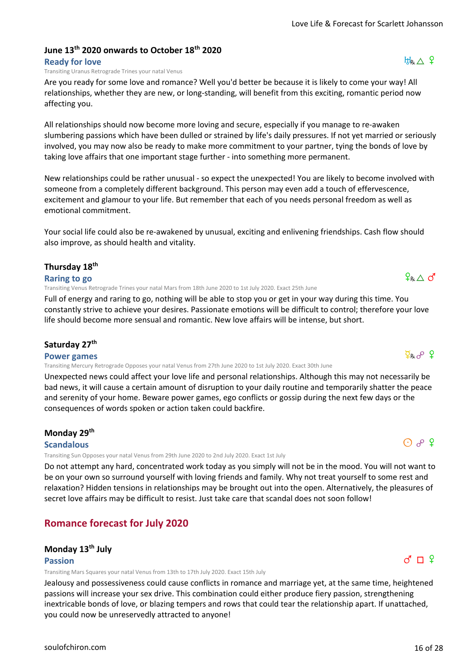## **June 13th 2020 onwards to October 18th 2020**

#### **Ready for love**

#### Transiting Uranus Retrograde Trines your natal Venus

Are you ready for some love and romance? Well you'd better be because it is likely to come your way! All relationships, whether they are new, or long-standing, will benefit from this exciting, romantic period now affecting you.

All relationships should now become more loving and secure, especially if you manage to re-awaken slumbering passions which have been dulled or strained by life's daily pressures. If not yet married or seriously involved, you may now also be ready to make more commitment to your partner, tying the bonds of love by taking love affairs that one important stage further - into something more permanent.

New relationships could be rather unusual - so expect the unexpected! You are likely to become involved with someone from a completely different background. This person may even add a touch of effervescence, excitement and glamour to your life. But remember that each of you needs personal freedom as well as emotional commitment.

Your social life could also be re-awakened by unusual, exciting and enlivening friendships. Cash flow should also improve, as should health and vitality.

#### **Thursday 18th**

#### **Raring to go**

Transiting Venus Retrograde Trines your natal Mars from 18th June 2020 to 1st July 2020. Exact 25th June

Full of energy and raring to go, nothing will be able to stop you or get in your way during this time. You constantly strive to achieve your desires. Passionate emotions will be difficult to control; therefore your love life should become more sensual and romantic. New love affairs will be intense, but short.

### **Saturday 27th**

**Power games** Transiting Mercury Retrograde Opposes your natal Venus from 27th June 2020 to 1st July 2020. Exact 30th June

Unexpected news could affect your love life and personal relationships. Although this may not necessarily be bad news, it will cause a certain amount of disruption to your daily routine and temporarily shatter the peace and serenity of your home. Beware power games, ego conflicts or gossip during the next few days or the consequences of words spoken or action taken could backfire.

### **Monday 29th**

#### **Scandalous**

Transiting Sun Opposes your natal Venus from 29th June 2020 to 2nd July 2020. Exact 1st July

Do not attempt any hard, concentrated work today as you simply will not be in the mood. You will not want to be on your own so surround yourself with loving friends and family. Why not treat yourself to some rest and relaxation? Hidden tensions in relationships may be brought out into the open. Alternatively, the pleasures of secret love affairs may be difficult to resist. Just take care that scandal does not soon follow!

## **Romance forecast for July 2020**

#### **Monday 13th July Passion**

Transiting Mars Squares your natal Venus from 13th to 17th July 2020. Exact 15th July

Jealousy and possessiveness could cause conflicts in romance and marriage yet, at the same time, heightened passions will increase your sex drive. This combination could either produce fiery passion, strengthening inextricable bonds of love, or blazing tempers and rows that could tear the relationship apart. If unattached, you could now be unreservedly attracted to anyone!

 $d \Pi$  ?

 $\Phi$   $\Omega$ 

 $Q \nrightarrow Q$ 

 $P_R \wedge d$ 

 $H_R \wedge 9$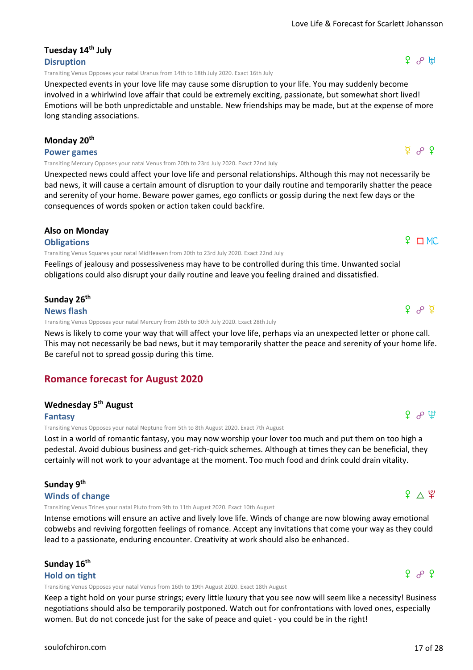#### Love Life & Forecast for Scarlett Johansson

#### **Tuesday 14th July Disruption**

Transiting Venus Opposes your natal Uranus from 14th to 18th July 2020. Exact 16th July

Unexpected events in your love life may cause some disruption to your life. You may suddenly become involved in a whirlwind love affair that could be extremely exciting, passionate, but somewhat short lived! Emotions will be both unpredictable and unstable. New friendships may be made, but at the expense of more long standing associations.

#### **Monday 20th**

**Power games**

Transiting Mercury Opposes your natal Venus from 20th to 23rd July 2020. Exact 22nd July

Unexpected news could affect your love life and personal relationships. Although this may not necessarily be bad news, it will cause a certain amount of disruption to your daily routine and temporarily shatter the peace and serenity of your home. Beware power games, ego conflicts or gossip during the next few days or the consequences of words spoken or action taken could backfire.

#### **Also on Monday**

#### **Obligations**

Transiting Venus Squares your natal MidHeaven from 20th to 23rd July 2020. Exact 22nd July

Feelings of jealousy and possessiveness may have to be controlled during this time. Unwanted social obligations could also disrupt your daily routine and leave you feeling drained and dissatisfied.

#### **Sunday 26th**

#### **News flash**

Transiting Venus Opposes your natal Mercury from 26th to 30th July 2020. Exact 28th July

News is likely to come your way that will affect your love life, perhaps via an unexpected letter or phone call. This may not necessarily be bad news, but it may temporarily shatter the peace and serenity of your home life. Be careful not to spread gossip during this time.

### **Romance forecast for August 2020**

#### **Wednesday 5th August**

**Fantasy**

Transiting Venus Opposes your natal Neptune from 5th to 8th August 2020. Exact 7th August

Lost in a world of romantic fantasy, you may now worship your lover too much and put them on too high a pedestal. Avoid dubious business and get-rich-quick schemes. Although at times they can be beneficial, they certainly will not work to your advantage at the moment. Too much food and drink could drain vitality.

#### **Sunday 9th**

#### **Winds of change**

Transiting Venus Trines your natal Pluto from 9th to 11th August 2020. Exact 10th August

Intense emotions will ensure an active and lively love life. Winds of change are now blowing away emotional cobwebs and reviving forgotten feelings of romance. Accept any invitations that come your way as they could lead to a passionate, enduring encounter. Creativity at work should also be enhanced.

#### **Sunday 16th**

#### **Hold on tight**

Transiting Venus Opposes your natal Venus from 16th to 19th August 2020. Exact 18th August

Keep a tight hold on your purse strings; every little luxury that you see now will seem like a necessity! Business negotiations should also be temporarily postponed. Watch out for confrontations with loved ones, especially women. But do not concede just for the sake of peace and quiet - you could be in the right!

## $P$   $T$  MC

 $f \circ \varphi$ 

 $9<sub>h</sub>$ 

d w f

p y

### $9 \wedge 9$

## $9 \text{ g}$   $9$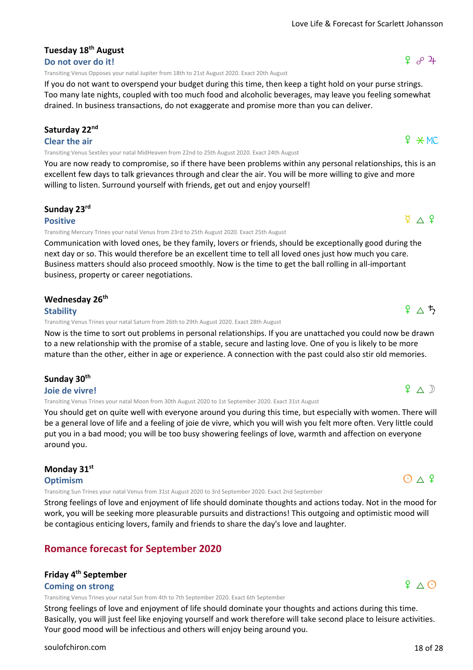### **Tuesday 18th August**

#### **Do not over do it!**

Transiting Venus Opposes your natal Jupiter from 18th to 21st August 2020. Exact 20th August

If you do not want to overspend your budget during this time, then keep a tight hold on your purse strings. Too many late nights, coupled with too much food and alcoholic beverages, may leave you feeling somewhat drained. In business transactions, do not exaggerate and promise more than you can deliver.

#### **Saturday 22nd**

#### **Clear the air**

Transiting Venus Sextiles your natal MidHeaven from 22nd to 25th August 2020. Exact 24th August

You are now ready to compromise, so if there have been problems within any personal relationships, this is an excellent few days to talk grievances through and clear the air. You will be more willing to give and more willing to listen. Surround yourself with friends, get out and enjoy yourself!

#### **Sunday 23rd**

#### **Positive**

Transiting Mercury Trines your natal Venus from 23rd to 25th August 2020. Exact 25th August

Communication with loved ones, be they family, lovers or friends, should be exceptionally good during the next day or so. This would therefore be an excellent time to tell all loved ones just how much you care. Business matters should also proceed smoothly. Now is the time to get the ball rolling in all-important business, property or career negotiations.

#### **Wednesday 26th**

#### **Stability**

Transiting Venus Trines your natal Saturn from 26th to 29th August 2020. Exact 28th August

Now is the time to sort out problems in personal relationships. If you are unattached you could now be drawn to a new relationship with the promise of a stable, secure and lasting love. One of you is likely to be more mature than the other, either in age or experience. A connection with the past could also stir old memories.

#### **Sunday 30th**

#### **Joie de vivre!**

Transiting Venus Trines your natal Moon from 30th August 2020 to 1st September 2020. Exact 31st August

You should get on quite well with everyone around you during this time, but especially with women. There will be a general love of life and a feeling of joie de vivre, which you will wish you felt more often. Very little could put you in a bad mood; you will be too busy showering feelings of love, warmth and affection on everyone around you.

#### **Monday 31st**

#### **Optimism**

Transiting Sun Trines your natal Venus from 31st August 2020 to 3rd September 2020. Exact 2nd September

Strong feelings of love and enjoyment of life should dominate thoughts and actions today. Not in the mood for work, you will be seeking more pleasurable pursuits and distractions! This outgoing and optimistic mood will be contagious enticing lovers, family and friends to share the day's love and laughter.

#### **Romance forecast for September 2020**

#### **Friday 4th September**

#### **Coming on strong**

Transiting Venus Trines your natal Sun from 4th to 7th September 2020. Exact 6th September

Strong feelings of love and enjoyment of life should dominate your thoughts and actions during this time. Basically, you will just feel like enjoying yourself and work therefore will take second place to leisure activities. Your good mood will be infectious and others will enjoy being around you.

## $P \wedge Q$

 $P \wedge D$ 

 $9 \wedge 5$ 

## $O \wedge 9$

## $P \times MC$

 $9 \times 2$ 

## $\sqrt{2}$   $\Delta$   $\sqrt{2}$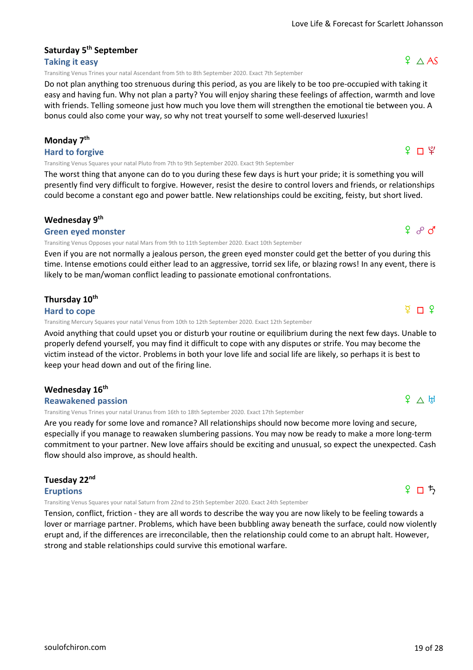## **Saturday 5th September**

#### **Taking it easy**

Transiting Venus Trines your natal Ascendant from 5th to 8th September 2020. Exact 7th September

Do not plan anything too strenuous during this period, as you are likely to be too pre-occupied with taking it easy and having fun. Why not plan a party? You will enjoy sharing these feelings of affection, warmth and love with friends. Telling someone just how much you love them will strengthen the emotional tie between you. A bonus could also come your way, so why not treat yourself to some well-deserved luxuries!

#### **Monday 7th**

**Hard to forgive**

Transiting Venus Squares your natal Pluto from 7th to 9th September 2020. Exact 9th September

The worst thing that anyone can do to you during these few days is hurt your pride; it is something you will presently find very difficult to forgive. However, resist the desire to control lovers and friends, or relationships could become a constant ego and power battle. New relationships could be exciting, feisty, but short lived.

#### **Wednesday 9th**

#### **Green eyed monster**

Transiting Venus Opposes your natal Mars from 9th to 11th September 2020. Exact 10th September

Even if you are not normally a jealous person, the green eyed monster could get the better of you during this time. Intense emotions could either lead to an aggressive, torrid sex life, or blazing rows! In any event, there is likely to be man/woman conflict leading to passionate emotional confrontations.

#### **Thursday 10th**

#### **Hard to cope**

Transiting Mercury Squares your natal Venus from 10th to 12th September 2020. Exact 12th September

Avoid anything that could upset you or disturb your routine or equilibrium during the next few days. Unable to properly defend yourself, you may find it difficult to cope with any disputes or strife. You may become the victim instead of the victor. Problems in both your love life and social life are likely, so perhaps it is best to keep your head down and out of the firing line.

#### **Wednesday 16th**

#### **Reawakened passion**

Transiting Venus Trines your natal Uranus from 16th to 18th September 2020. Exact 17th September

Are you ready for some love and romance? All relationships should now become more loving and secure, especially if you manage to reawaken slumbering passions. You may now be ready to make a more long-term commitment to your partner. New love affairs should be exciting and unusual, so expect the unexpected. Cash flow should also improve, as should health.

#### **Tuesday 22nd**

#### **Eruptions**

Transiting Venus Squares your natal Saturn from 22nd to 25th September 2020. Exact 24th September

Tension, conflict, friction - they are all words to describe the way you are now likely to be feeling towards a lover or marriage partner. Problems, which have been bubbling away beneath the surface, could now violently erupt and, if the differences are irreconcilable, then the relationship could come to an abrupt halt. However, strong and stable relationships could survive this emotional warfare.

 $\overline{2}$   $\Box$   $\overline{2}$ 

 $9 \wedge AS$ 

 $f \cap \mathfrak{L}$ 

 $9^\circ$   $\sigma$ 

## $f \cap \mathfrak{h}$

 $P \wedge H$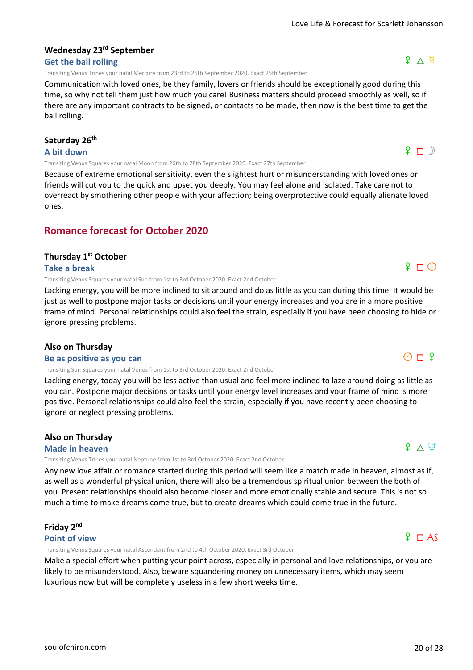## **Wednesday 23rd September**

#### **Get the ball rolling**

Transiting Venus Trines your natal Mercury from 23rd to 26th September 2020. Exact 25th September

Communication with loved ones, be they family, lovers or friends should be exceptionally good during this time, so why not tell them just how much you care! Business matters should proceed smoothly as well, so if there are any important contracts to be signed, or contacts to be made, then now is the best time to get the ball rolling.

#### **Saturday 26th**

#### **A bit down**

Transiting Venus Squares your natal Moon from 26th to 28th September 2020. Exact 27th September

Because of extreme emotional sensitivity, even the slightest hurt or misunderstanding with loved ones or friends will cut you to the quick and upset you deeply. You may feel alone and isolated. Take care not to overreact by smothering other people with your affection; being overprotective could equally alienate loved ones.

### **Romance forecast for October 2020**

#### **Thursday 1st October**

#### **Take a break**

Transiting Venus Squares your natal Sun from 1st to 3rd October 2020. Exact 2nd October

Lacking energy, you will be more inclined to sit around and do as little as you can during this time. It would be just as well to postpone major tasks or decisions until your energy increases and you are in a more positive frame of mind. Personal relationships could also feel the strain, especially if you have been choosing to hide or ignore pressing problems.

#### **Also on Thursday**

#### **Be as positive as you can**

Transiting Sun Squares your natal Venus from 1st to 3rd October 2020. Exact 2nd October

Lacking energy, today you will be less active than usual and feel more inclined to laze around doing as little as you can. Postpone major decisions or tasks until your energy level increases and your frame of mind is more positive. Personal relationships could also feel the strain, especially if you have recently been choosing to ignore or neglect pressing problems.

#### **Also on Thursday**

#### **Made in heaven**

Transiting Venus Trines your natal Neptune from 1st to 3rd October 2020. Exact 2nd October

Any new love affair or romance started during this period will seem like a match made in heaven, almost as if, as well as a wonderful physical union, there will also be a tremendous spiritual union between the both of you. Present relationships should also become closer and more emotionally stable and secure. This is not so much a time to make dreams come true, but to create dreams which could come true in the future.

#### **Friday 2nd Point of view**

Transiting Venus Squares your natal Ascendant from 2nd to 4th October 2020. Exact 3rd October

Make a special effort when putting your point across, especially in personal and love relationships, or you are likely to be misunderstood. Also, beware squandering money on unnecessary items, which may seem luxurious now but will be completely useless in a few short weeks time.

## f e l

## $f \cap \mathbb{R}$

 $9 \wedge 9$ 

## $O \Pi$  ?

 $P \cap Q$ 

## $f \cap AS$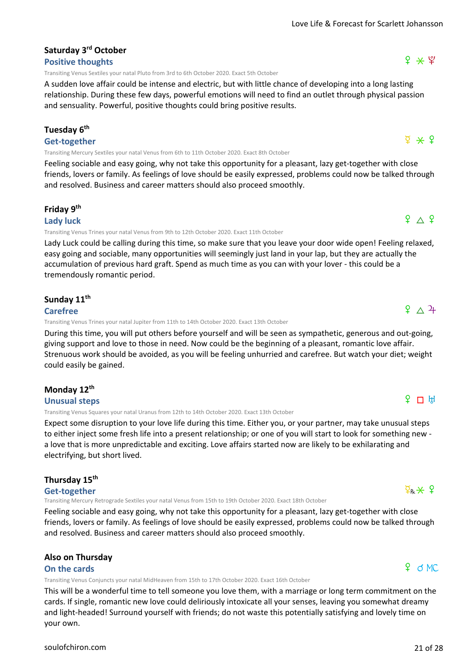### **Saturday 3rd October**

#### **Positive thoughts**

Transiting Venus Sextiles your natal Pluto from 3rd to 6th October 2020. Exact 5th October

A sudden love affair could be intense and electric, but with little chance of developing into a long lasting relationship. During these few days, powerful emotions will need to find an outlet through physical passion and sensuality. Powerful, positive thoughts could bring positive results.

#### **Tuesday 6th**

#### **Get-together**

Transiting Mercury Sextiles your natal Venus from 6th to 11th October 2020. Exact 8th October

Feeling sociable and easy going, why not take this opportunity for a pleasant, lazy get-together with close friends, lovers or family. As feelings of love should be easily expressed, problems could now be talked through and resolved. Business and career matters should also proceed smoothly.

#### **Friday 9th**

#### **Lady luck**

Transiting Venus Trines your natal Venus from 9th to 12th October 2020. Exact 11th October

Lady Luck could be calling during this time, so make sure that you leave your door wide open! Feeling relaxed, easy going and sociable, many opportunities will seemingly just land in your lap, but they are actually the accumulation of previous hard graft. Spend as much time as you can with your lover - this could be a tremendously romantic period.

#### **Sunday 11th**

#### **Carefree**

Transiting Venus Trines your natal Jupiter from 11th to 14th October 2020. Exact 13th October

During this time, you will put others before yourself and will be seen as sympathetic, generous and out-going, giving support and love to those in need. Now could be the beginning of a pleasant, romantic love affair. Strenuous work should be avoided, as you will be feeling unhurried and carefree. But watch your diet; weight could easily be gained.

#### **Monday 12th**

#### **Unusual steps**

Transiting Venus Squares your natal Uranus from 12th to 14th October 2020. Exact 13th October

Expect some disruption to your love life during this time. Either you, or your partner, may take unusual steps to either inject some fresh life into a present relationship; or one of you will start to look for something new a love that is more unpredictable and exciting. Love affairs started now are likely to be exhilarating and electrifying, but short lived.

#### **Thursday 15th**

#### **Get-together**

Transiting Mercury Retrograde Sextiles your natal Venus from 15th to 19th October 2020. Exact 18th October

Feeling sociable and easy going, why not take this opportunity for a pleasant, lazy get-together with close friends, lovers or family. As feelings of love should be easily expressed, problems could now be talked through and resolved. Business and career matters should also proceed smoothly.

#### **Also on Thursday**

#### **On the cards**

Transiting Venus Conjuncts your natal MidHeaven from 15th to 17th October 2020. Exact 16th October

This will be a wonderful time to tell someone you love them, with a marriage or long term commitment on the cards. If single, romantic new love could deliriously intoxicate all your senses, leaving you somewhat dreamy and light-headed! Surround yourself with friends; do not waste this potentially satisfying and lovely time on your own.

 $9^{\circ}$   $\wedge$   $4^{\circ}$ 

#### $f \cap H$

### $9d$  MC

 $\frac{1}{2}R + 2$ 

## $\Phi$   $*$   $\Phi$

 $9 \wedge 9$ 

 $9 * 4$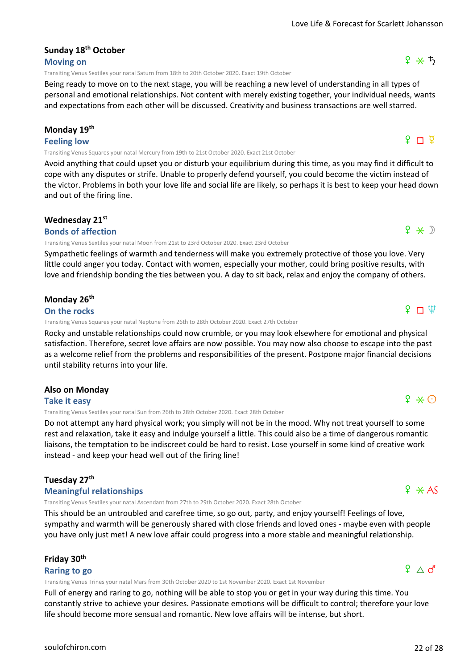## **Sunday 18th October**

### **Moving on**

Transiting Venus Sextiles your natal Saturn from 18th to 20th October 2020. Exact 19th October

Being ready to move on to the next stage, you will be reaching a new level of understanding in all types of personal and emotional relationships. Not content with merely existing together, your individual needs, wants and expectations from each other will be discussed. Creativity and business transactions are well starred.

#### **Monday 19th**

**Feeling low**

Transiting Venus Squares your natal Mercury from 19th to 21st October 2020. Exact 21st October

Avoid anything that could upset you or disturb your equilibrium during this time, as you may find it difficult to cope with any disputes or strife. Unable to properly defend yourself, you could become the victim instead of the victor. Problems in both your love life and social life are likely, so perhaps it is best to keep your head down and out of the firing line.

#### **Wednesday 21st**

#### **Bonds of affection**

Transiting Venus Sextiles your natal Moon from 21st to 23rd October 2020. Exact 23rd October

Sympathetic feelings of warmth and tenderness will make you extremely protective of those you love. Very little could anger you today. Contact with women, especially your mother, could bring positive results, with love and friendship bonding the ties between you. A day to sit back, relax and enjoy the company of others.

#### **Monday 26th**

#### **On the rocks**

Transiting Venus Squares your natal Neptune from 26th to 28th October 2020. Exact 27th October

Rocky and unstable relationships could now crumble, or you may look elsewhere for emotional and physical satisfaction. Therefore, secret love affairs are now possible. You may now also choose to escape into the past as a welcome relief from the problems and responsibilities of the present. Postpone major financial decisions until stability returns into your life.

#### **Also on Monday**

#### **Take it easy**

Transiting Venus Sextiles your natal Sun from 26th to 28th October 2020. Exact 28th October

Do not attempt any hard physical work; you simply will not be in the mood. Why not treat yourself to some rest and relaxation, take it easy and indulge yourself a little. This could also be a time of dangerous romantic liaisons, the temptation to be indiscreet could be hard to resist. Lose yourself in some kind of creative work instead - and keep your head well out of the firing line!

#### **Tuesday 27th**

#### **Meaningful relationships**

Transiting Venus Sextiles your natal Ascendant from 27th to 29th October 2020. Exact 28th October

This should be an untroubled and carefree time, so go out, party, and enjoy yourself! Feelings of love, sympathy and warmth will be generously shared with close friends and loved ones - maybe even with people you have only just met! A new love affair could progress into a more stable and meaningful relationship.

#### **Friday 30th**

#### **Raring to go**

Transiting Venus Trines your natal Mars from 30th October 2020 to 1st November 2020. Exact 1st November

Full of energy and raring to go, nothing will be able to stop you or get in your way during this time. You constantly strive to achieve your desires. Passionate emotions will be difficult to control; therefore your love life should become more sensual and romantic. New love affairs will be intense, but short.

### $9 \cup 9$

 $9 \times D$ 

 $\Omega$   $\Box$   $\overline{\Psi}$ 

 $9 + 5$ 

## $9 * 0$

## $\frac{6}{7}$   $\times$  AS

## $9 \wedge 7$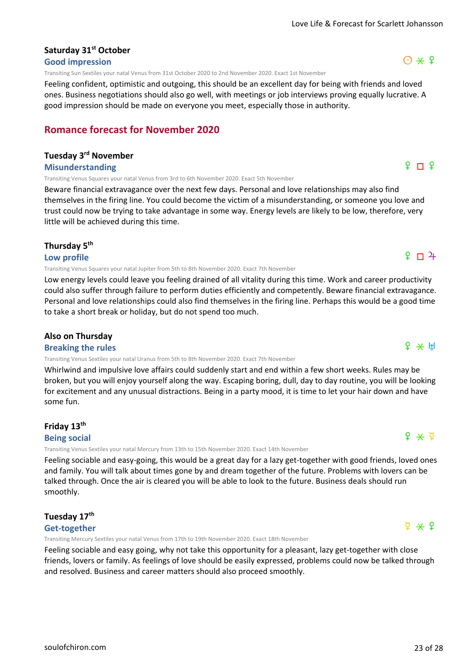Transiting Sun Sextiles your natal Venus from 31st October 2020 to 2nd November 2020. Exact 1st November

Feeling confident, optimistic and outgoing, this should be an excellent day for being with friends and loved ones. Business negotiations should also go well, with meetings or job interviews proving equally lucrative. A good impression should be made on everyone you meet, especially those in authority.

#### **Romance forecast for November 2020**

#### **Tuesday 3rd November**

**Saturday 31st October Good impression**

**Misunderstanding**

Transiting Venus Squares your natal Venus from 3rd to 6th November 2020. Exact 5th November

Beware financial extravagance over the next few days. Personal and love relationships may also find themselves in the firing line. You could become the victim of a misunderstanding, or someone you love and trust could now be trying to take advantage in some way. Energy levels are likely to be low, therefore, very little will be achieved during this time.

#### **Thursday 5th**

**Low profile**

Transiting Venus Squares your natal Jupiter from 5th to 8th November 2020. Exact 7th November

Low energy levels could leave you feeling drained of all vitality during this time. Work and career productivity could also suffer through failure to perform duties efficiently and competently. Beware financial extravagance. Personal and love relationships could also find themselves in the firing line. Perhaps this would be a good time to take a short break or holiday, but do not spend too much.

#### **Also on Thursday**

#### **Breaking the rules**

Transiting Venus Sextiles your natal Uranus from 5th to 8th November 2020. Exact 7th November

Whirlwind and impulsive love affairs could suddenly start and end within a few short weeks. Rules may be broken, but you will enjoy yourself along the way. Escaping boring, dull, day to day routine, you will be looking for excitement and any unusual distractions. Being in a party mood, it is time to let your hair down and have some fun.

#### **Friday 13th**

**Being social**

Transiting Venus Sextiles your natal Mercury from 13th to 15th November 2020. Exact 14th November

Feeling sociable and easy-going, this would be a great day for a lazy get-together with good friends, loved ones and family. You will talk about times gone by and dream together of the future. Problems with lovers can be talked through. Once the air is cleared you will be able to look to the future. Business deals should run smoothly.

#### **Tuesday 17th**

#### **Get-together**

Transiting Mercury Sextiles your natal Venus from 17th to 19th November 2020. Exact 18th November

Feeling sociable and easy going, why not take this opportunity for a pleasant, lazy get-together with close friends, lovers or family. As feelings of love should be easily expressed, problems could now be talked through and resolved. Business and career matters should also proceed smoothly.



 $9 \n *n*$   $\sqrt{4}$ 



### $\Phi$   $*$   $\Phi$

$$
f_{\rm{max}}
$$

## $f \star H$

 $\odot \times 9$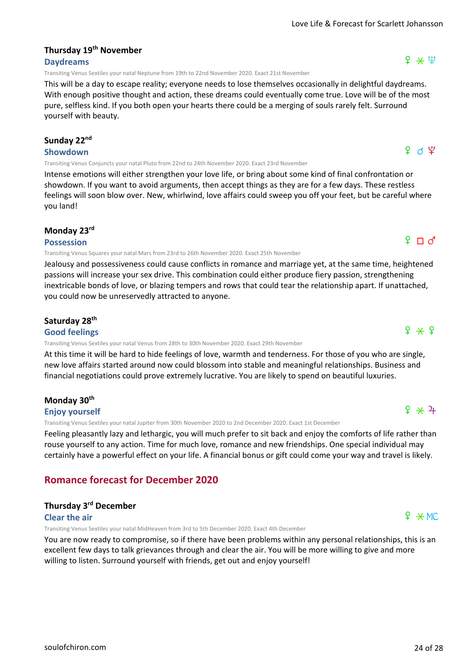## **Thursday 19th November**

#### **Daydreams**

Transiting Venus Sextiles your natal Neptune from 19th to 22nd November 2020. Exact 21st November

This will be a day to escape reality; everyone needs to lose themselves occasionally in delightful daydreams. With enough positive thought and action, these dreams could eventually come true. Love will be of the most pure, selfless kind. If you both open your hearts there could be a merging of souls rarely felt. Surround yourself with beauty.

#### **Sunday 22nd**

#### **Showdown**

Transiting Venus Conjuncts your natal Pluto from 22nd to 24th November 2020. Exact 23rd November

Intense emotions will either strengthen your love life, or bring about some kind of final confrontation or showdown. If you want to avoid arguments, then accept things as they are for a few days. These restless feelings will soon blow over. New, whirlwind, love affairs could sweep you off your feet, but be careful where you land!

#### **Monday 23rd**

#### **Possession**

Transiting Venus Squares your natal Mars from 23rd to 26th November 2020. Exact 25th November

Jealousy and possessiveness could cause conflicts in romance and marriage yet, at the same time, heightened passions will increase your sex drive. This combination could either produce fiery passion, strengthening inextricable bonds of love, or blazing tempers and rows that could tear the relationship apart. If unattached, you could now be unreservedly attracted to anyone.

#### **Saturday 28th**

#### **Good feelings**

Transiting Venus Sextiles your natal Venus from 28th to 30th November 2020. Exact 29th November

At this time it will be hard to hide feelings of love, warmth and tenderness. For those of you who are single, new love affairs started around now could blossom into stable and meaningful relationships. Business and financial negotiations could prove extremely lucrative. You are likely to spend on beautiful luxuries.

#### **Monday 30th**

#### **Enjoy yourself**

Transiting Venus Sextiles your natal Jupiter from 30th November 2020 to 2nd December 2020. Exact 1st December

Feeling pleasantly lazy and lethargic, you will much prefer to sit back and enjoy the comforts of life rather than rouse yourself to any action. Time for much love, romance and new friendships. One special individual may certainly have a powerful effect on your life. A financial bonus or gift could come your way and travel is likely.

#### **Romance forecast for December 2020**

#### **Thursday 3rd December**

#### **Clear the air**

Transiting Venus Sextiles your natal MidHeaven from 3rd to 5th December 2020. Exact 4th December

You are now ready to compromise, so if there have been problems within any personal relationships, this is an excellent few days to talk grievances through and clear the air. You will be more willing to give and more willing to listen. Surround yourself with friends, get out and enjoy yourself!

## $9 \times 9$

#### $2 * 2 +$

 $P \times MC$ 

## $2 \times 6$  ¥

 $9 \square 7$ 

 $9 \times \Psi$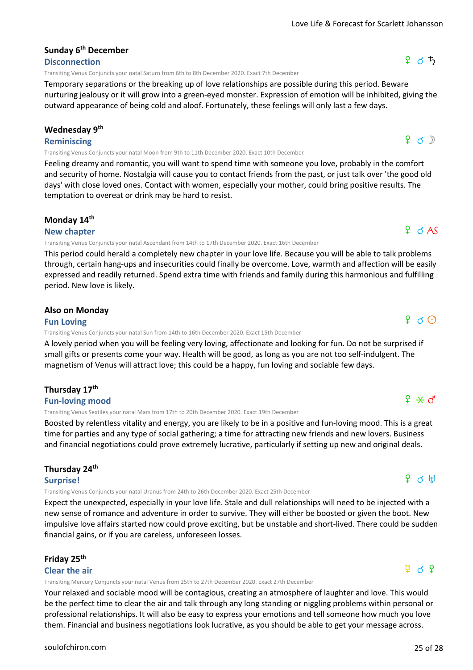#### [soulofchiron.com](https://soulofchiron.com/) 25 of 28

#### **Sunday 6th December**

#### **Disconnection**

Transiting Venus Conjuncts your natal Saturn from 6th to 8th December 2020. Exact 7th December

Temporary separations or the breaking up of love relationships are possible during this period. Beware nurturing jealousy or it will grow into a green-eyed monster. Expression of emotion will be inhibited, giving the outward appearance of being cold and aloof. Fortunately, these feelings will only last a few days.

#### **Wednesday 9th**

#### **Reminiscing**

Transiting Venus Conjuncts your natal Moon from 9th to 11th December 2020. Exact 10th December

Feeling dreamy and romantic, you will want to spend time with someone you love, probably in the comfort and security of home. Nostalgia will cause you to contact friends from the past, or just talk over 'the good old days' with close loved ones. Contact with women, especially your mother, could bring positive results. The temptation to overeat or drink may be hard to resist.

#### **Monday 14th**

#### **New chapter**

Transiting Venus Conjuncts your natal Ascendant from 14th to 17th December 2020. Exact 16th December

This period could herald a completely new chapter in your love life. Because you will be able to talk problems through, certain hang-ups and insecurities could finally be overcome. Love, warmth and affection will be easily expressed and readily returned. Spend extra time with friends and family during this harmonious and fulfilling period. New love is likely.

#### **Also on Monday**

#### **Fun Loving**

Transiting Venus Conjuncts your natal Sun from 14th to 16th December 2020. Exact 15th December

A lovely period when you will be feeling very loving, affectionate and looking for fun. Do not be surprised if small gifts or presents come your way. Health will be good, as long as you are not too self-indulgent. The magnetism of Venus will attract love; this could be a happy, fun loving and sociable few days.

#### **Thursday 17th**

#### **Fun-loving mood**

Transiting Venus Sextiles your natal Mars from 17th to 20th December 2020. Exact 19th December

Boosted by relentless vitality and energy, you are likely to be in a positive and fun-loving mood. This is a great time for parties and any type of social gathering; a time for attracting new friends and new lovers. Business and financial negotiations could prove extremely lucrative, particularly if setting up new and original deals.

#### **Thursday 24th**

#### **Surprise!**

Transiting Venus Conjuncts your natal Uranus from 24th to 26th December 2020. Exact 25th December

Expect the unexpected, especially in your love life. Stale and dull relationships will need to be injected with a new sense of romance and adventure in order to survive. They will either be boosted or given the boot. New impulsive love affairs started now could prove exciting, but be unstable and short-lived. There could be sudden financial gains, or if you are careless, unforeseen losses.

#### **Friday 25th**

#### **Clear the air**

Transiting Mercury Conjuncts your natal Venus from 25th to 27th December 2020. Exact 27th December

Your relaxed and sociable mood will be contagious, creating an atmosphere of laughter and love. This would be the perfect time to clear the air and talk through any long standing or niggling problems within personal or professional relationships. It will also be easy to express your emotions and tell someone how much you love them. Financial and business negotiations look lucrative, as you should be able to get your message across.

## $9$  d AS

#### $f \ast d$

#### f q K

 $\Phi$  d  $\delta$ 

## $9d5$

 $9 d$ 

 $9 \land \odot$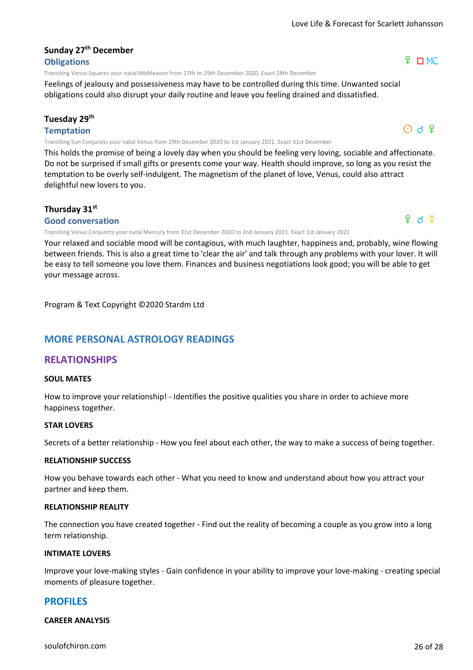#### **Sunday 27th December Obligations**

Transiting Venus Squares your natal MidHeaven from 27th to 29th December 2020. Exact 28th December

Feelings of jealousy and possessiveness may have to be controlled during this time. Unwanted social obligations could also disrupt your daily routine and leave you feeling drained and dissatisfied.

#### **Tuesday 29th**

#### **Temptation**

Transiting Sun Conjuncts your natal Venus from 29th December 2020 to 1st January 2021. Exact 31st December

This holds the promise of being a lovely day when you should be feeling very loving, sociable and affectionate. Do not be surprised if small gifts or presents come your way. Health should improve, so long as you resist the temptation to be overly self-indulgent. The magnetism of the planet of love, Venus, could also attract delightful new lovers to you.

#### **Thursday 31st**

#### **Good conversation**

Transiting Venus Conjuncts your natal Mercury from 31st December 2020 to 2nd January 2021. Exact 1st January 2021

Your relaxed and sociable mood will be contagious, with much laughter, happiness and, probably, wine flowing between friends. This is also a great time to 'clear the air' and talk through any problems with your lover. It will be easy to tell someone you love them. Finances and business negotiations look good; you will be able to get your message across.

Program & Text Copyright ©2020 Stardm Ltd

### **MORE PERSONAL ASTROLOGY READINGS**

### **RELATIONSHIPS**

#### **SOUL MATES**

How to improve your relationship! - Identifies the positive qualities you share in order to achieve more happiness together.

#### **STAR LOVERS**

Secrets of a better relationship - How you feel about each other, the way to make a success of being together.

#### **RELATIONSHIP SUCCESS**

How you behave towards each other - What you need to know and understand about how you attract your partner and keep them.

#### **RELATIONSHIP REALITY**

The connection you have created together - Find out the reality of becoming a couple as you grow into a long term relationship.

#### **INTIMATE LOVERS**

Improve your love-making styles - Gain confidence in your ability to improve your love-making - creating special moments of pleasure together.

### **PROFILES**

#### **CAREER ANALYSIS**



 $O$  d  $9$ 

## $9<sup>0</sup>$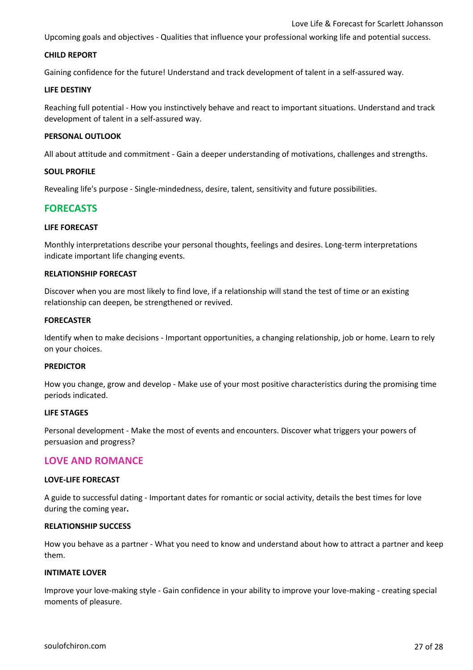Upcoming goals and objectives - Qualities that influence your professional working life and potential success.

#### **CHILD REPORT**

Gaining confidence for the future! Understand and track development of talent in a self-assured way.

#### **LIFE DESTINY**

Reaching full potential - How you instinctively behave and react to important situations. Understand and track development of talent in a self-assured way.

#### **PERSONAL OUTLOOK**

All about attitude and commitment - Gain a deeper understanding of motivations, challenges and strengths.

#### **SOUL PROFILE**

Revealing life's purpose - Single-mindedness, desire, talent, sensitivity and future possibilities.

#### **FORECASTS**

#### **LIFE FORECAST**

Monthly interpretations describe your personal thoughts, feelings and desires. Long-term interpretations indicate important life changing events.

#### **RELATIONSHIP FORECAST**

Discover when you are most likely to find love, if a relationship will stand the test of time or an existing relationship can deepen, be strengthened or revived.

#### **FORECASTER**

Identify when to make decisions - Important opportunities, a changing relationship, job or home. Learn to rely on your choices.

#### **PREDICTOR**

How you change, grow and develop - Make use of your most positive characteristics during the promising time periods indicated.

#### **LIFE STAGES**

Personal development - Make the most of events and encounters. Discover what triggers your powers of persuasion and progress?

#### **LOVE AND ROMANCE**

#### **LOVE-LIFE FORECAST**

A guide to successful dating - Important dates for romantic or social activity, details the best times for love during the coming year**.**

#### **RELATIONSHIP SUCCESS**

How you behave as a partner - What you need to know and understand about how to attract a partner and keep them.

#### **INTIMATE LOVER**

Improve your love-making style - Gain confidence in your ability to improve your love-making - creating special moments of pleasure.